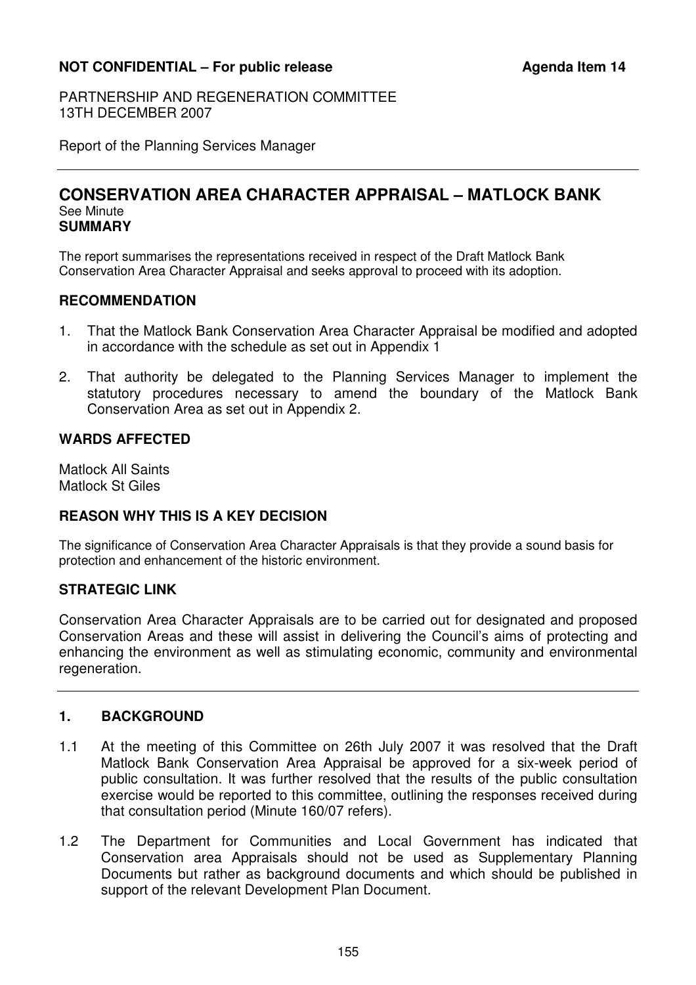# **NOT CONFIDENTIAL – For public release Agenda Item 14**

PARTNERSHIP AND REGENERATION COMMITTEE 13TH DECEMBER 2007

Report of the Planning Services Manager

#### **CONSERVATION AREA CHARACTER APPRAISAL – MATLOCK BANK**  See Minute **SUMMARY**

The report summarises the representations received in respect of the Draft Matlock Bank Conservation Area Character Appraisal and seeks approval to proceed with its adoption.

### **RECOMMENDATION**

- 1. That the Matlock Bank Conservation Area Character Appraisal be modified and adopted in accordance with the schedule as set out in Appendix 1
- 2. That authority be delegated to the Planning Services Manager to implement the statutory procedures necessary to amend the boundary of the Matlock Bank Conservation Area as set out in Appendix 2.

# **WARDS AFFECTED**

Matlock All Saints Matlock St Giles

# **REASON WHY THIS IS A KEY DECISION**

The significance of Conservation Area Character Appraisals is that they provide a sound basis for protection and enhancement of the historic environment.

# **STRATEGIC LINK**

Conservation Area Character Appraisals are to be carried out for designated and proposed Conservation Areas and these will assist in delivering the Council's aims of protecting and enhancing the environment as well as stimulating economic, community and environmental regeneration.

## **1. BACKGROUND**

- 1.1 At the meeting of this Committee on 26th July 2007 it was resolved that the Draft Matlock Bank Conservation Area Appraisal be approved for a six-week period of public consultation. It was further resolved that the results of the public consultation exercise would be reported to this committee, outlining the responses received during that consultation period (Minute 160/07 refers).
- 1.2 The Department for Communities and Local Government has indicated that Conservation area Appraisals should not be used as Supplementary Planning Documents but rather as background documents and which should be published in support of the relevant Development Plan Document.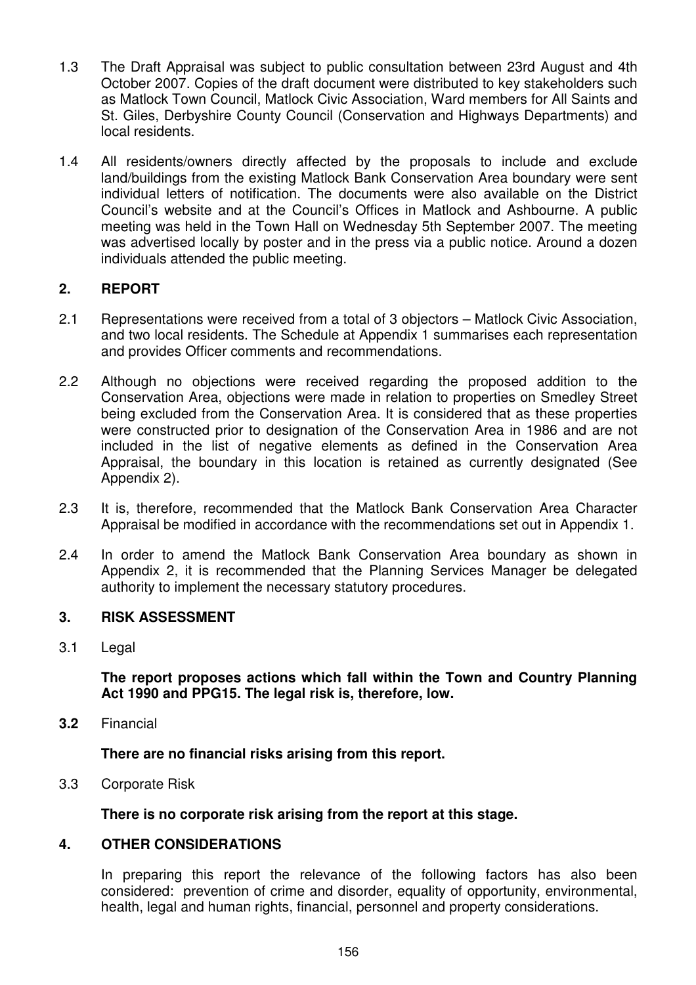- 1.3 The Draft Appraisal was subject to public consultation between 23rd August and 4th October 2007. Copies of the draft document were distributed to key stakeholders such as Matlock Town Council, Matlock Civic Association, Ward members for All Saints and St. Giles, Derbyshire County Council (Conservation and Highways Departments) and local residents.
- 1.4 All residents/owners directly affected by the proposals to include and exclude land/buildings from the existing Matlock Bank Conservation Area boundary were sent individual letters of notification. The documents were also available on the District Council's website and at the Council's Offices in Matlock and Ashbourne. A public meeting was held in the Town Hall on Wednesday 5th September 2007. The meeting was advertised locally by poster and in the press via a public notice. Around a dozen individuals attended the public meeting.

# **2. REPORT**

- 2.1 Representations were received from a total of 3 objectors Matlock Civic Association, and two local residents. The Schedule at Appendix 1 summarises each representation and provides Officer comments and recommendations.
- 2.2 Although no objections were received regarding the proposed addition to the Conservation Area, objections were made in relation to properties on Smedley Street being excluded from the Conservation Area. It is considered that as these properties were constructed prior to designation of the Conservation Area in 1986 and are not included in the list of negative elements as defined in the Conservation Area Appraisal, the boundary in this location is retained as currently designated (See Appendix 2).
- 2.3 It is, therefore, recommended that the Matlock Bank Conservation Area Character Appraisal be modified in accordance with the recommendations set out in Appendix 1.
- 2.4 In order to amend the Matlock Bank Conservation Area boundary as shown in Appendix 2, it is recommended that the Planning Services Manager be delegated authority to implement the necessary statutory procedures.

## **3. RISK ASSESSMENT**

3.1 Legal

 **The report proposes actions which fall within the Town and Country Planning Act 1990 and PPG15. The legal risk is, therefore, low.** 

**3.2** Financial

 **There are no financial risks arising from this report.** 

3.3 Corporate Risk

 **There is no corporate risk arising from the report at this stage.** 

#### **4. OTHER CONSIDERATIONS**

In preparing this report the relevance of the following factors has also been considered: prevention of crime and disorder, equality of opportunity, environmental, health, legal and human rights, financial, personnel and property considerations.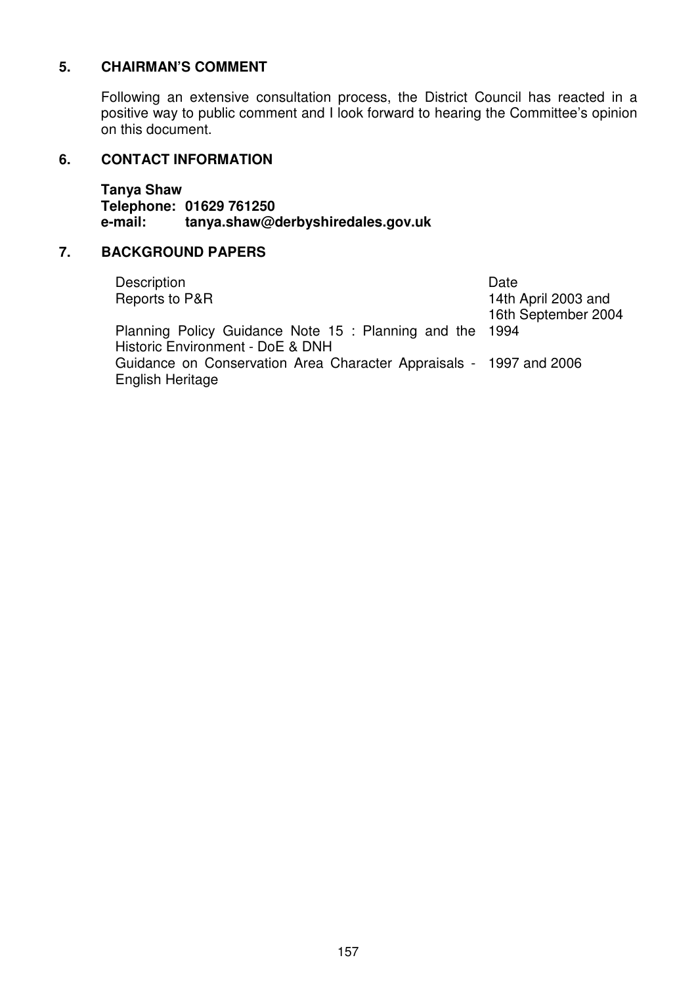## **5. CHAIRMAN'S COMMENT**

Following an extensive consultation process, the District Council has reacted in a positive way to public comment and I look forward to hearing the Committee's opinion on this document.

#### **6. CONTACT INFORMATION**

 **Tanya Shaw Telephone: 01629 761250 e-mail: tanya.shaw@derbyshiredales.gov.uk** 

## **7. BACKGROUND PAPERS**

| Description                                                        | Date                |
|--------------------------------------------------------------------|---------------------|
| Reports to P&R                                                     | 14th April 2003 and |
|                                                                    | 16th September 2004 |
| Planning Policy Guidance Note 15 : Planning and the 1994           |                     |
| Historic Environment - DoE & DNH                                   |                     |
| Guidance on Conservation Area Character Appraisals - 1997 and 2006 |                     |
| English Heritage                                                   |                     |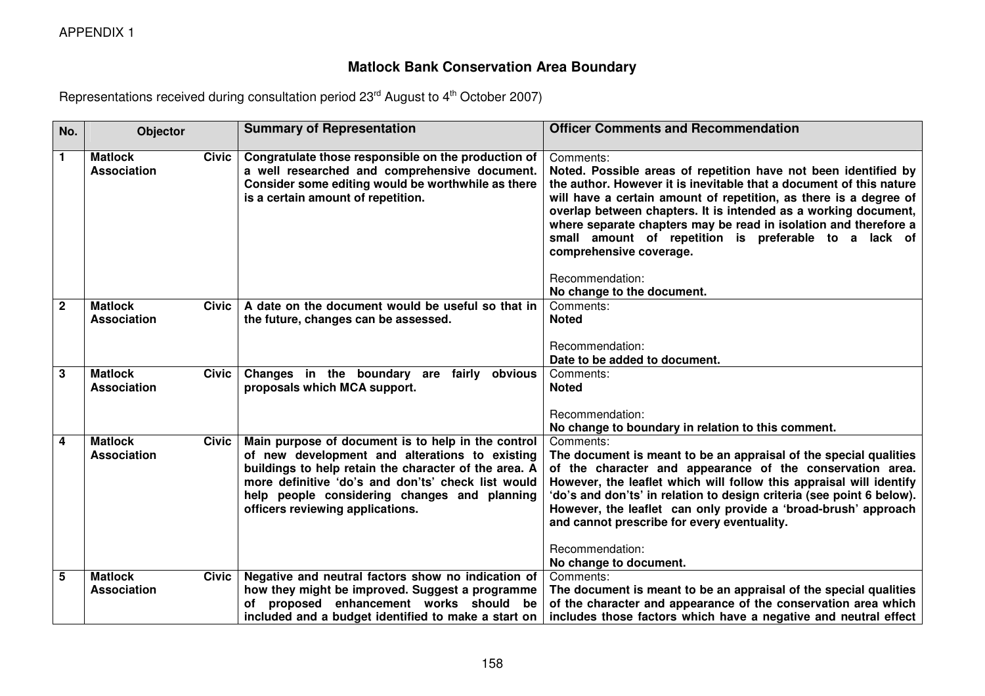APPENDIX 1

# **Matlock Bank Conservation Area Boundary**

Representations received during consultation period 23<sup>rd</sup> August to 4<sup>th</sup> October 2007)

| No.          | Objector                                             | <b>Summary of Representation</b>                                                                                                                                                                                                                                                                        | <b>Officer Comments and Recommendation</b>                                                                                                                                                                                                                                                                                                                                                                                                                             |
|--------------|------------------------------------------------------|---------------------------------------------------------------------------------------------------------------------------------------------------------------------------------------------------------------------------------------------------------------------------------------------------------|------------------------------------------------------------------------------------------------------------------------------------------------------------------------------------------------------------------------------------------------------------------------------------------------------------------------------------------------------------------------------------------------------------------------------------------------------------------------|
| 1.           | <b>Matlock</b><br>Civic<br>Association               | Congratulate those responsible on the production of<br>a well researched and comprehensive document.<br>Consider some editing would be worthwhile as there<br>is a certain amount of repetition.                                                                                                        | Comments:<br>Noted. Possible areas of repetition have not been identified by<br>the author. However it is inevitable that a document of this nature<br>will have a certain amount of repetition, as there is a degree of<br>overlap between chapters. It is intended as a working document,<br>where separate chapters may be read in isolation and therefore a<br>small amount of repetition is preferable to a lack of<br>comprehensive coverage.<br>Recommendation: |
|              |                                                      |                                                                                                                                                                                                                                                                                                         | No change to the document.                                                                                                                                                                                                                                                                                                                                                                                                                                             |
| $\mathbf{2}$ | <b>Matlock</b><br>Civic<br>Association               | A date on the document would be useful so that in<br>the future, changes can be assessed.                                                                                                                                                                                                               | Comments:<br><b>Noted</b>                                                                                                                                                                                                                                                                                                                                                                                                                                              |
|              |                                                      |                                                                                                                                                                                                                                                                                                         | Recommendation:                                                                                                                                                                                                                                                                                                                                                                                                                                                        |
|              |                                                      |                                                                                                                                                                                                                                                                                                         | Date to be added to document.                                                                                                                                                                                                                                                                                                                                                                                                                                          |
| 3            | <b>Matlock</b><br><b>Civic</b><br><b>Association</b> | Changes in the boundary are fairly obvious<br>proposals which MCA support.                                                                                                                                                                                                                              | Comments:<br><b>Noted</b>                                                                                                                                                                                                                                                                                                                                                                                                                                              |
|              |                                                      |                                                                                                                                                                                                                                                                                                         | Recommendation:<br>No change to boundary in relation to this comment.                                                                                                                                                                                                                                                                                                                                                                                                  |
| 4            | <b>Matlock</b><br><b>Civic</b><br><b>Association</b> | Main purpose of document is to help in the control<br>of new development and alterations to existing<br>buildings to help retain the character of the area. A<br>more definitive 'do's and don'ts' check list would<br>help people considering changes and planning<br>officers reviewing applications. | Comments:<br>The document is meant to be an appraisal of the special qualities<br>of the character and appearance of the conservation area.<br>However, the leaflet which will follow this appraisal will identify<br>'do's and don'ts' in relation to design criteria (see point 6 below).<br>However, the leaflet can only provide a 'broad-brush' approach<br>and cannot prescribe for every eventuality.<br>Recommendation:                                        |
|              |                                                      |                                                                                                                                                                                                                                                                                                         | No change to document.                                                                                                                                                                                                                                                                                                                                                                                                                                                 |
| 5.           | <b>Matlock</b><br>Civic<br><b>Association</b>        | Negative and neutral factors show no indication of<br>how they might be improved. Suggest a programme<br>of proposed enhancement works should be<br>included and a budget identified to make a start on                                                                                                 | Comments:<br>The document is meant to be an appraisal of the special qualities<br>of the character and appearance of the conservation area which<br>includes those factors which have a negative and neutral effect                                                                                                                                                                                                                                                    |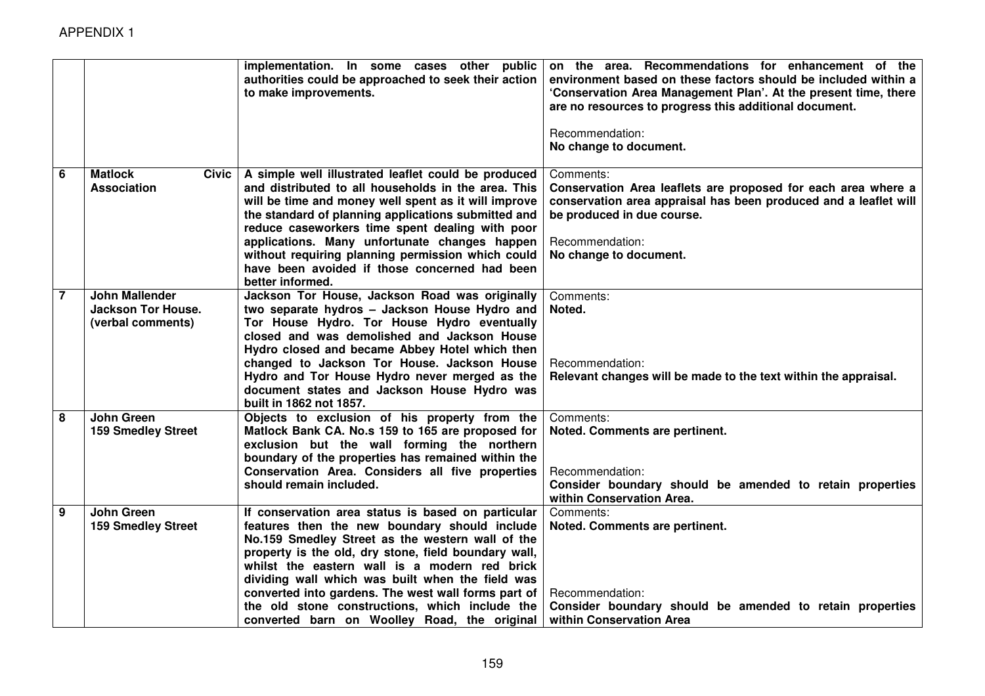|                 |                                                                         | implementation. In some cases other public<br>authorities could be approached to seek their action<br>to make improvements.                                                                                                                                                                                                                                                                                                                                                   | on the area. Recommendations for enhancement of the<br>environment based on these factors should be included within a<br>'Conservation Area Management Plan'. At the present time, there<br>are no resources to progress this additional document.<br>Recommendation:<br>No change to document. |
|-----------------|-------------------------------------------------------------------------|-------------------------------------------------------------------------------------------------------------------------------------------------------------------------------------------------------------------------------------------------------------------------------------------------------------------------------------------------------------------------------------------------------------------------------------------------------------------------------|-------------------------------------------------------------------------------------------------------------------------------------------------------------------------------------------------------------------------------------------------------------------------------------------------|
| $6\phantom{1}6$ | <b>Matlock</b><br><b>Civic</b><br><b>Association</b>                    | A simple well illustrated leaflet could be produced<br>and distributed to all households in the area. This<br>will be time and money well spent as it will improve<br>the standard of planning applications submitted and<br>reduce caseworkers time spent dealing with poor<br>applications. Many unfortunate changes happen<br>without requiring planning permission which could<br>have been avoided if those concerned had been<br>better informed.                       | Comments:<br>Conservation Area leaflets are proposed for each area where a<br>conservation area appraisal has been produced and a leaflet will<br>be produced in due course.<br>Recommendation:<br>No change to document.                                                                       |
| $\overline{7}$  | <b>John Mallender</b><br><b>Jackson Tor House.</b><br>(verbal comments) | Jackson Tor House, Jackson Road was originally<br>two separate hydros - Jackson House Hydro and<br>Tor House Hydro. Tor House Hydro eventually<br>closed and was demolished and Jackson House<br>Hydro closed and became Abbey Hotel which then<br>changed to Jackson Tor House. Jackson House<br>Hydro and Tor House Hydro never merged as the<br>document states and Jackson House Hydro was<br>built in 1862 not 1857.                                                     | Comments:<br>Noted.<br>Recommendation:<br>Relevant changes will be made to the text within the appraisal.                                                                                                                                                                                       |
| 8               | John Green<br><b>159 Smedley Street</b>                                 | Objects to exclusion of his property from the<br>Matlock Bank CA. No.s 159 to 165 are proposed for<br>exclusion but the wall forming the northern<br>boundary of the properties has remained within the<br>Conservation Area. Considers all five properties<br>should remain included.                                                                                                                                                                                        | Comments:<br>Noted. Comments are pertinent.<br>Recommendation:<br>Consider boundary should be amended to retain properties<br>within Conservation Area.                                                                                                                                         |
| 9               | <b>John Green</b><br><b>159 Smedley Street</b>                          | If conservation area status is based on particular<br>features then the new boundary should include<br>No.159 Smedley Street as the western wall of the<br>property is the old, dry stone, field boundary wall,<br>whilst the eastern wall is a modern red brick<br>dividing wall which was built when the field was<br>converted into gardens. The west wall forms part of<br>the old stone constructions, which include the<br>converted barn on Woolley Road, the original | Comments:<br>Noted. Comments are pertinent.<br>Recommendation:<br>Consider boundary should be amended to retain properties<br>within Conservation Area                                                                                                                                          |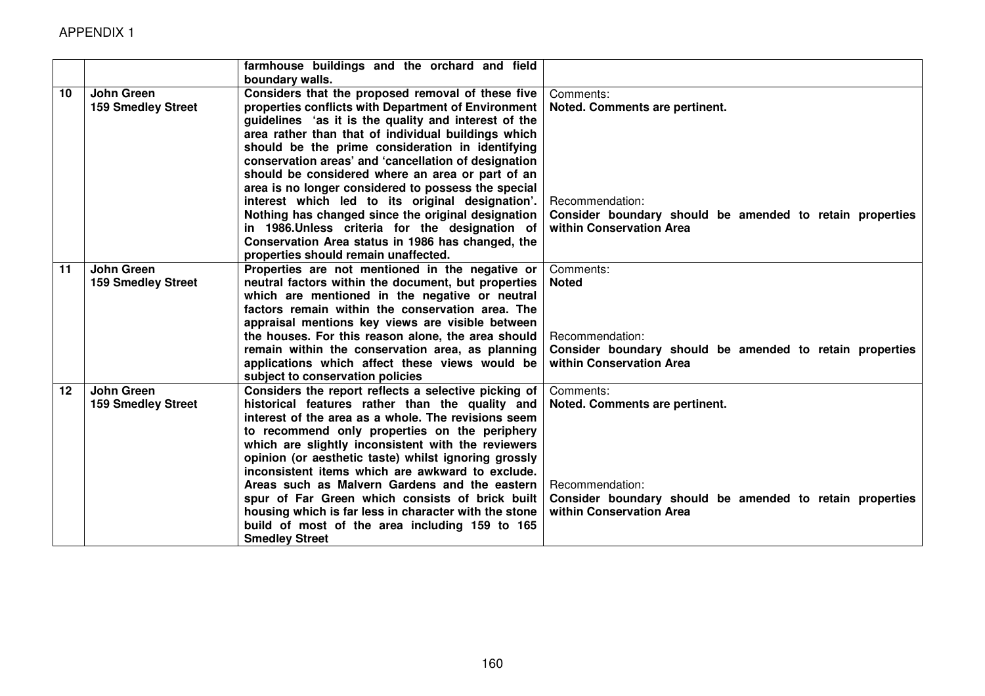|         |                           | farmhouse buildings and the orchard and field<br>boundary walls.                                      |                                                                                      |
|---------|---------------------------|-------------------------------------------------------------------------------------------------------|--------------------------------------------------------------------------------------|
| 10      | <b>John Green</b>         | Considers that the proposed removal of these five                                                     | Comments:                                                                            |
|         | <b>159 Smedley Street</b> | properties conflicts with Department of Environment                                                   | Noted. Comments are pertinent.                                                       |
|         |                           | guidelines 'as it is the quality and interest of the                                                  |                                                                                      |
|         |                           | area rather than that of individual buildings which                                                   |                                                                                      |
|         |                           | should be the prime consideration in identifying                                                      |                                                                                      |
|         |                           | conservation areas' and 'cancellation of designation                                                  |                                                                                      |
|         |                           | should be considered where an area or part of an                                                      |                                                                                      |
|         |                           | area is no longer considered to possess the special                                                   |                                                                                      |
|         |                           | interest which led to its original designation'.                                                      | Recommendation:                                                                      |
|         |                           |                                                                                                       |                                                                                      |
|         |                           | Nothing has changed since the original designation<br>in 1986. Unless criteria for the designation of | Consider boundary should be amended to retain properties<br>within Conservation Area |
|         |                           | Conservation Area status in 1986 has changed, the                                                     |                                                                                      |
|         |                           | properties should remain unaffected.                                                                  |                                                                                      |
| 11      | <b>John Green</b>         |                                                                                                       | Comments:                                                                            |
|         |                           | Properties are not mentioned in the negative or                                                       | <b>Noted</b>                                                                         |
|         | <b>159 Smedley Street</b> | neutral factors within the document, but properties                                                   |                                                                                      |
|         |                           | which are mentioned in the negative or neutral                                                        |                                                                                      |
|         |                           | factors remain within the conservation area. The                                                      |                                                                                      |
|         |                           | appraisal mentions key views are visible between                                                      |                                                                                      |
|         |                           | the houses. For this reason alone, the area should                                                    | Recommendation:                                                                      |
|         |                           | remain within the conservation area, as planning                                                      | Consider boundary should be amended to retain properties                             |
|         |                           | applications which affect these views would be                                                        | within Conservation Area                                                             |
|         |                           | subject to conservation policies                                                                      |                                                                                      |
| $12 \,$ | John Green                | Considers the report reflects a selective picking of                                                  | Comments:                                                                            |
|         | <b>159 Smedley Street</b> | historical features rather than the quality and                                                       | Noted. Comments are pertinent.                                                       |
|         |                           | interest of the area as a whole. The revisions seem                                                   |                                                                                      |
|         |                           | to recommend only properties on the periphery                                                         |                                                                                      |
|         |                           | which are slightly inconsistent with the reviewers                                                    |                                                                                      |
|         |                           | opinion (or aesthetic taste) whilst ignoring grossly                                                  |                                                                                      |
|         |                           | inconsistent items which are awkward to exclude.                                                      |                                                                                      |
|         |                           | Areas such as Malvern Gardens and the eastern                                                         | Recommendation:                                                                      |
|         |                           | spur of Far Green which consists of brick built                                                       | Consider boundary should be amended to retain properties                             |
|         |                           | housing which is far less in character with the stone                                                 | within Conservation Area                                                             |
|         |                           | build of most of the area including 159 to 165                                                        |                                                                                      |
|         |                           | <b>Smedley Street</b>                                                                                 |                                                                                      |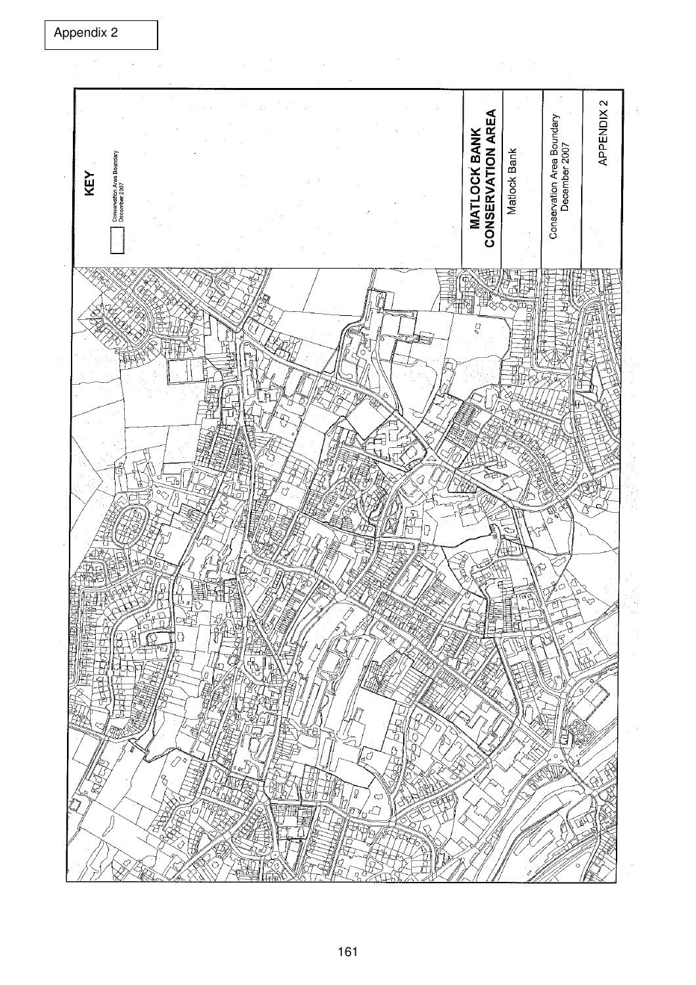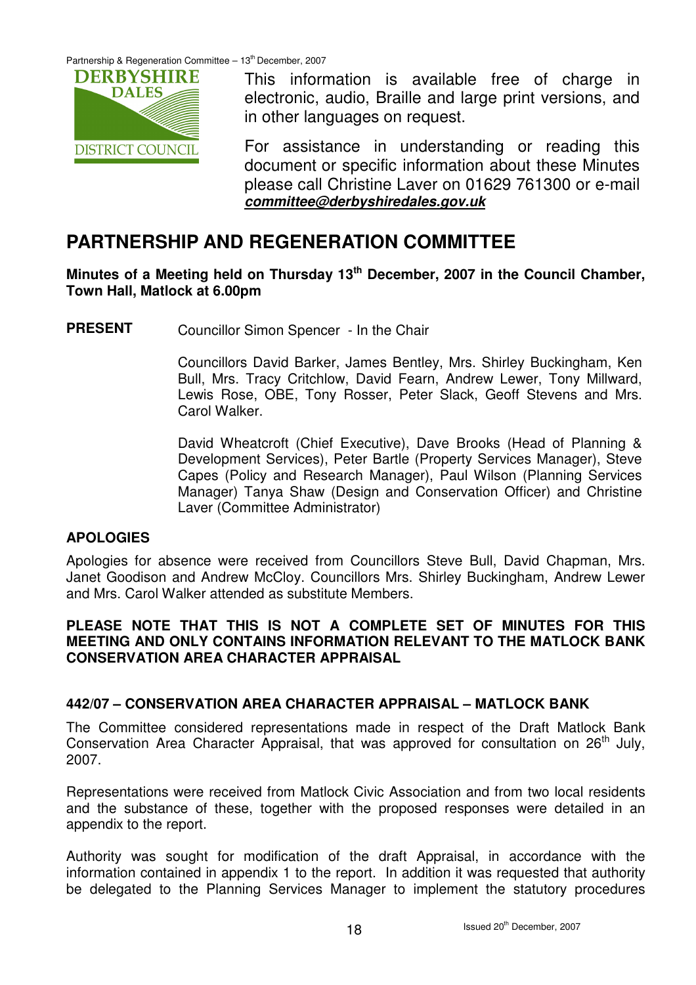Partnership & Regeneration Committee  $-13<sup>th</sup>$  December, 2007



This information is available free of charge in electronic, audio, Braille and large print versions, and in other languages on request.

For assistance in understanding or reading this document or specific information about these Minutes please call Christine Laver on 01629 761300 or e-mail **committee@derbyshiredales.gov.uk**

# **PARTNERSHIP AND REGENERATION COMMITTEE**

**Minutes of a Meeting held on Thursday 13th December, 2007 in the Council Chamber, Town Hall, Matlock at 6.00pm** 

**PRESENT** Councillor Simon Spencer - In the Chair

Councillors David Barker, James Bentley, Mrs. Shirley Buckingham, Ken Bull, Mrs. Tracy Critchlow, David Fearn, Andrew Lewer, Tony Millward, Lewis Rose, OBE, Tony Rosser, Peter Slack, Geoff Stevens and Mrs. Carol Walker.

David Wheatcroft (Chief Executive), Dave Brooks (Head of Planning & Development Services), Peter Bartle (Property Services Manager), Steve Capes (Policy and Research Manager), Paul Wilson (Planning Services Manager) Tanya Shaw (Design and Conservation Officer) and Christine Laver (Committee Administrator)

### **APOLOGIES**

Apologies for absence were received from Councillors Steve Bull, David Chapman, Mrs. Janet Goodison and Andrew McCloy. Councillors Mrs. Shirley Buckingham, Andrew Lewer and Mrs. Carol Walker attended as substitute Members.

## **PLEASE NOTE THAT THIS IS NOT A COMPLETE SET OF MINUTES FOR THIS MEETING AND ONLY CONTAINS INFORMATION RELEVANT TO THE MATLOCK BANK CONSERVATION AREA CHARACTER APPRAISAL**

# **442/07 – CONSERVATION AREA CHARACTER APPRAISAL – MATLOCK BANK**

The Committee considered representations made in respect of the Draft Matlock Bank Conservation Area Character Appraisal, that was approved for consultation on  $26<sup>th</sup>$  July, 2007.

Representations were received from Matlock Civic Association and from two local residents and the substance of these, together with the proposed responses were detailed in an appendix to the report.

Authority was sought for modification of the draft Appraisal, in accordance with the information contained in appendix 1 to the report. In addition it was requested that authority be delegated to the Planning Services Manager to implement the statutory procedures